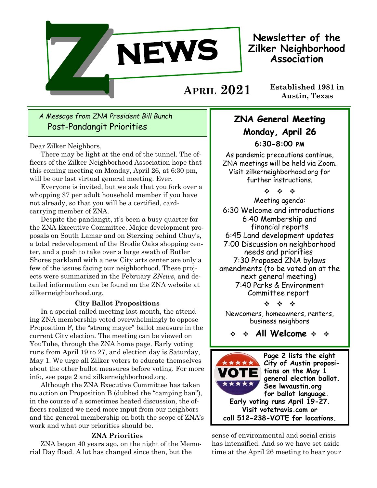

**Newsletter of the Zilker Neighborhood Association**

**Established 1981 in Austin, Texas APRIL 2021**

# *A Message from ZNA President Bill Bunch* Post-Pandangit Priorities

Dear Zilker Neighbors,

There may be light at the end of the tunnel. The officers of the Zilker Neighborhood Association hope that this coming meeting on Monday, April 26, at 6:30 pm, will be our last virtual general meeting. Ever.

Everyone is invited, but we ask that you fork over a whopping \$7 per adult household member if you have not already, so that you will be a certified, cardcarrying member of ZNA.

Despite the pandangit, it's been a busy quarter for the ZNA Executive Committee. Major development proposals on South Lamar and on Sterzing behind Chuy's, a total redevelopment of the Brodie Oaks shopping center, and a push to take over a large swath of Butler Shores parkland with a new City arts center are only a few of the issues facing our neighborhood. These projects were summarized in the February *ZNews*, and detailed information can be found on the ZNA website at zilkerneighborhood.org.

## **City Ballot Propositions**

In a special called meeting last month, the attending ZNA membership voted overwhelmingly to oppose Proposition F, the "strong mayor" ballot measure in the current City election. The meeting can be viewed on YouTube, through the ZNA home page. Early voting runs from April 19 to 27, and election day is Saturday, May 1. We urge all Zilker voters to educate themselves about the other ballot measures before voting. For more info, see page 2 and zilkerneighborhood.org.

Although the ZNA Executive Committee has taken no action on Proposition B (dubbed the "camping ban"), in the course of a sometimes heated discussion, the officers realized we need more input from our neighbors and the general membership on both the scope of ZNA's work and what our priorities should be.

### **ZNA Priorities**

ZNA began 40 years ago, on the night of the Memorial Day flood. A lot has changed since then, but the

# **ZNA General Meeting Monday, April 26**

**6:30-8:00 pm**

As pandemic precautions continue, ZNA meetings will be held via Zoom. Visit zilkerneighborhood.org for further instructions.

 $\begin{array}{ccccccccc} \phi_1 & \phi_2 & \phi_3 & \phi_4 \end{array}$ 

Meeting agenda: 6:30 Welcome and introductions 6:40 Membership and financial reports 6:45 Land development updates 7:00 Discussion on neighborhood needs and priorities 7:30 Proposed ZNA bylaws amendments (to be voted on at the next general meeting) 7:40 Parks & Environment Committee report

\* \* \*

Newcomers, homeowners, renters, business neighbors

**All Welcome** 



sense of environmental and social crisis has intensified. And so we have set aside time at the April 26 meeting to hear your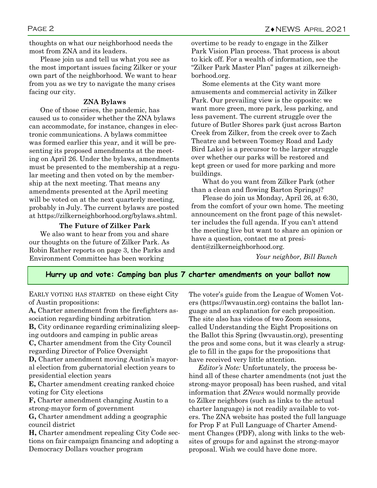thoughts on what our neighborhood needs the most from ZNA and its leaders.

Please join us and tell us what you see as the most important issues facing Zilker or your own part of the neighborhood. We want to hear from you as we try to navigate the many crises facing our city.

### **ZNA Bylaws**

One of those crises, the pandemic, has caused us to consider whether the ZNA bylaws can accommodate, for instance, changes in electronic communications. A bylaws committee was formed earlier this year, and it will be presenting its proposed amendments at the meeting on April 26. Under the bylaws, amendments must be presented to the membership at a regular meeting and then voted on by the membership at the next meeting. That means any amendments presented at the April meeting will be voted on at the next quarterly meeting, probably in July. The current bylaws are posted at https://zilkerneighborhood.org/bylaws.shtml.

### **The Future of Zilker Park**

We also want to hear from you and share our thoughts on the future of Zilker Park. As Robin Rather reports on page 3, the Parks and Environment Committee has been working

overtime to be ready to engage in the Zilker Park Vision Plan process. That process is about to kick off. For a wealth of information, see the "Zilker Park Master Plan" pages at zilkerneighborhood.org.

Some elements at the City want more amusements and commercial activity in Zilker Park. Our prevailing view is the opposite: we want more green, more park, less parking, and less pavement. The current struggle over the future of Butler Shores park (just across Barton Creek from Zilker, from the creek over to Zach Theatre and between Toomey Road and Lady Bird Lake) is a precursor to the larger struggle over whether our parks will be restored and kept green or used for more parking and more buildings.

What do you want from Zilker Park (other than a clean and flowing Barton Springs)?

Please do join us Monday, April 26, at 6:30, from the comfort of your own home. The meeting announcement on the front page of this newsletter includes the full agenda. If you can't attend the meeting live but want to share an opinion or have a question, contact me at president@zilkerneighborhood.org.

*Your neighbor, Bill Bunch*

### **Hurry up and vote: Camping ban plus 7 charter amendments on your ballot now**

EARLY VOTING HAS STARTED on these eight City of Austin propositions:

**A,** Charter amendment from the firefighters association regarding binding arbitration

**B,** City ordinance regarding criminalizing sleeping outdoors and camping in public areas

**C,** Charter amendment from the City Council regarding Director of Police Oversight

**D,** Charter amendment moving Austin's mayoral election from gubernatorial election years to presidential election years

**E,** Charter amendment creating ranked choice voting for City elections

**F,** Charter amendment changing Austin to a strong-mayor form of government

**G,** Charter amendment adding a geographic council district

**H,** Charter amendment repealing City Code sections on fair campaign financing and adopting a Democracy Dollars voucher program

The voter's guide from the League of Women Voters (https://lwvaustin.org) contains the ballot language and an explanation for each proposition. The site also has videos of two Zoom sessions, called Understanding the Eight Propositions on the Ballot this Spring (lwvaustin.org), presenting the pros and some cons, but it was clearly a struggle to fill in the gaps for the propositions that have received very little attention.

 *Editor's Note:* Unfortunately, the process behind all of these charter amendments (not just the strong-mayor proposal) has been rushed, and vital information that *ZNews* would normally provide to Zilker neighbors (such as links to the actual charter language) is not readily available to voters. The ZNA website has posted the full language for Prop F at Full Language of Charter Amendment Changes (PDF), along with links to the websites of groups for and against the strong-mayor proposal. Wish we could have done more.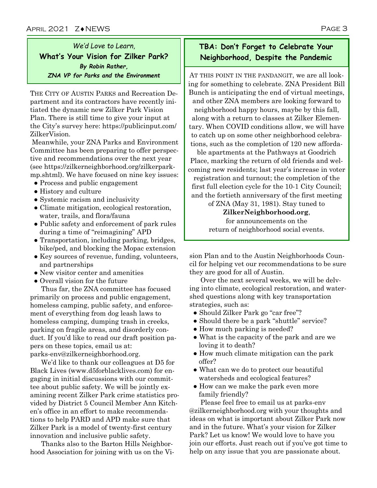*We'd Love to Learn,*  **What's Your Vision for Zilker Park?**  *By Robin Rather, ZNA VP for Parks and the Environment*

THE CITY OF AUSTIN PARKS and Recreation Department and its contractors have recently initiated the dynamic new Zilker Park Vision Plan. There is still time to give your input at the City's survey here: https://publicinput.com/ ZilkerVision.

Meanwhile, your ZNA Parks and Environment Committee has been preparing to offer perspective and recommendations over the next year (see https://zilkerneighborhood.org/zilkerparkmp.shtml). We have focused on nine key issues:

- Process and public engagement
- History and culture
- Systemic racism and inclusivity
- Climate mitigation, ecological restoration, water, trails, and flora/fauna
- Public safety and enforcement of park rules during a time of "reimagining" APD
- Transportation, including parking, bridges, bike/ped, and blocking the Mopac extension
- Key sources of revenue, funding, volunteers, and partnerships
- New visitor center and amenities
- Overall vision for the future

Thus far, the ZNA committee has focused primarily on process and public engagement, homeless camping, public safety, and enforcement of everything from dog leash laws to homeless camping, dumping trash in creeks, parking on fragile areas, and disorderly conduct. If you'd like to read our draft position papers on these topics, email us at: parks-env@zilkerneighborhood.org.

We'd like to thank our colleagues at D5 for Black Lives (www.d5forblacklives.com) for engaging in initial discussions with our committee about public safety. We will be jointly examining recent Zilker Park crime statistics provided by District 5 Council Member Ann Kitchen's office in an effort to make recommendations to help PARD and APD make sure that Zilker Park is a model of twenty-first century innovation and inclusive public safety.

Thanks also to the Barton Hills Neighborhood Association for joining with us on the Vi-

# **TBA: Don't Forget to Celebrate Your Neighborhood, Despite the Pandemic**

AT THIS POINT IN THE PANDANGIT, we are all looking for something to celebrate. ZNA President Bill Bunch is anticipating the end of virtual meetings, and other ZNA members are looking forward to neighborhood happy hours, maybe by this fall, along with a return to classes at Zilker Elementary. When COVID conditions allow, we will have to catch up on some other neighborhood celebrations, such as the completion of 120 new afforda-

ble apartments at the Pathways at Goodrich Place, marking the return of old friends and welcoming new residents; last year's increase in voter registration and turnout; the completion of the first full election cycle for the 10-1 City Council; and the fortieth anniversary of the first meeting

> of ZNA (May 31, 1981). Stay tuned to **ZilkerNeighborhood.org**, for announcements on the return of neighborhood social events.

sion Plan and to the Austin Neighborhoods Council for helping vet our recommendations to be sure they are good for all of Austin.

Over the next several weeks, we will be delving into climate, ecological restoration, and watershed questions along with key transportation strategies, such as:

- Should Zilker Park go "car free"?
- Should there be a park "shuttle" service?
- How much parking is needed?
- What is the capacity of the park and are we loving it to death?
- How much climate mitigation can the park offer?
- What can we do to protect our beautiful watersheds and ecological features?
- How can we make the park even more family friendly?

Please feel free to email us at parks-env @zilkerneighborhood.org with your thoughts and ideas on what is important about Zilker Park now and in the future. What's your vision for Zilker Park? Let us know! We would love to have you join our efforts. Just reach out if you've got time to help on any issue that you are passionate about.